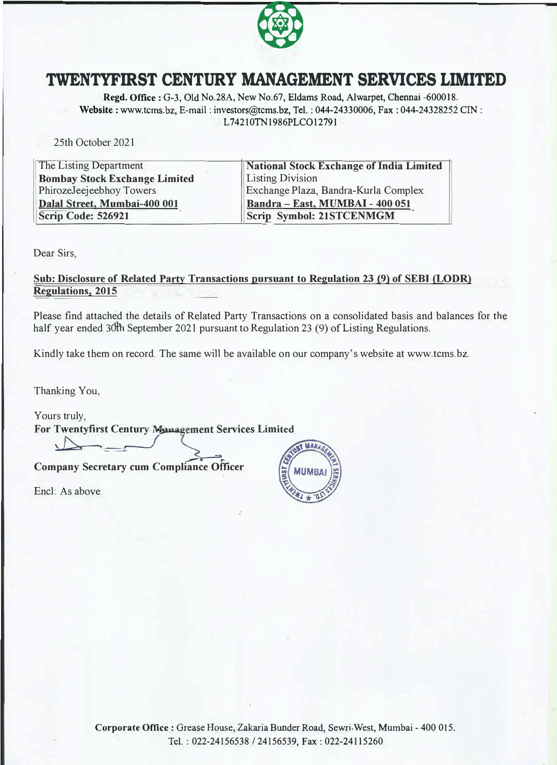

## **TWENTYFIRST CENTURY MANAGEMENT SERVICES LIMITED**

**Regd. Office:** G-3, Old No.28A, New No.67, Eldams Road, Alwarpet, Chennai -600018. **Website:** www.tcms.bz, E-mail: investors@tcms.bz, Tel.: 044-24330006, Fax: 044-24328252 CIN: L74210TN1986PLCO12791

25th October 2021

| The Listing Department               | National Stock Exchange of India Limited |
|--------------------------------------|------------------------------------------|
| <b>Bombay Stock Exchange Limited</b> | <b>Listing Division</b>                  |
| PhirozeJeejeebhoy Towers             | Exchange Plaza, Bandra-Kurla Complex     |
| Dalal Street, Mumbai-400 001         | Bandra - East, MUMBAI - 400 051          |
| <b>Scrip Code: 526921</b>            | Scrip Symbol: 21STCENMGM                 |

Dear Sirs,

## **Sub: Disclosure of Related Party Transactions pursuant to Regulation 23 (9) of SEBI (LODR) Regulations, 2015**

Please find attached the details of Related Party Transactions on a consolidated basis and balances for the half year ended 30th September 2021 pursuant to Regulation 23 (9) of Listing Regulations.

Kindly take them on record. The same will be available on our company's website at www.tcms.bz.

Thanking You,

Yours truly, **For Twentyfirst Century Manage**  $\rightarrow$ 

**Company Secretary cum Compliance Officer** 

Encl: As above